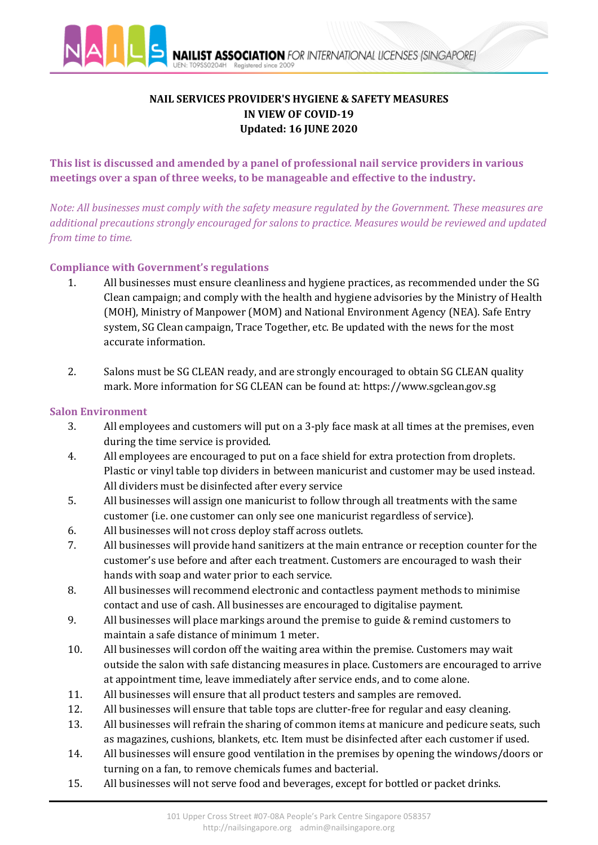

# **NAIL SERVICES PROVIDER'S HYGIENE & SAFETY MEASURES IN VIEW OF COVID-19 Updated: 16 JUNE 2020**

**This list is discussed and amended by a panel of professional nail service providers in various meetings over a span of three weeks, to be manageable and effective to the industry.** 

*Note: All businesses must comply with the safety measure regulated by the Government. These measures are additional precautions strongly encouraged for salons to practice. Measures would be reviewed and updated from time to time.*

# **Compliance with Government's regulations**

- 1. All businesses must ensure cleanliness and hygiene practices, as recommended under the SG Clean campaign; and comply with the health and hygiene advisories by the Ministry of Health (MOH), Ministry of Manpower (MOM) and National Environment Agency (NEA). Safe Entry system, SG Clean campaign, Trace Together, etc. Be updated with the news for the most accurate information.
- 2. Salons must be SG CLEAN ready, and are strongly encouraged to obtain SG CLEAN quality mark. More information for SG CLEAN can be found at: https://www.sgclean.gov.sg

## **Salon Environment**

- 3. All employees and customers will put on a 3-ply face mask at all times at the premises, even during the time service is provided.
- 4. All employees are encouraged to put on a face shield for extra protection from droplets. Plastic or vinyl table top dividers in between manicurist and customer may be used instead. All dividers must be disinfected after every service
- 5. All businesses will assign one manicurist to follow through all treatments with the same customer (i.e. one customer can only see one manicurist regardless of service).
- 6. All businesses will not cross deploy staff across outlets.<br>7. All businesses will provide hand sanitizers at the main  $\epsilon$
- 7. All businesses will provide hand sanitizers at the main entrance or reception counter for the customer's use before and after each treatment. Customers are encouraged to wash their hands with soap and water prior to each service.
- 8. All businesses will recommend electronic and contactless payment methods to minimise contact and use of cash. All businesses are encouraged to digitalise payment.
- 9. All businesses will place markings around the premise to guide & remind customers to maintain a safe distance of minimum 1 meter.
- 10. All businesses will cordon off the waiting area within the premise. Customers may wait outside the salon with safe distancing measures in place. Customers are encouraged to arrive at appointment time, leave immediately after service ends, and to come alone.
- 11. All businesses will ensure that all product testers and samples are removed.<br>12. All businesses will ensure that table tops are clutter-free for regular and easy
- All businesses will ensure that table tops are clutter-free for regular and easy cleaning.
- 13. All businesses will refrain the sharing of common items at manicure and pedicure seats, such as magazines, cushions, blankets, etc. Item must be disinfected after each customer if used.
- 14. All businesses will ensure good ventilation in the premises by opening the windows/doors or turning on a fan, to remove chemicals fumes and bacterial.
- 15. All businesses will not serve food and beverages, except for bottled or packet drinks.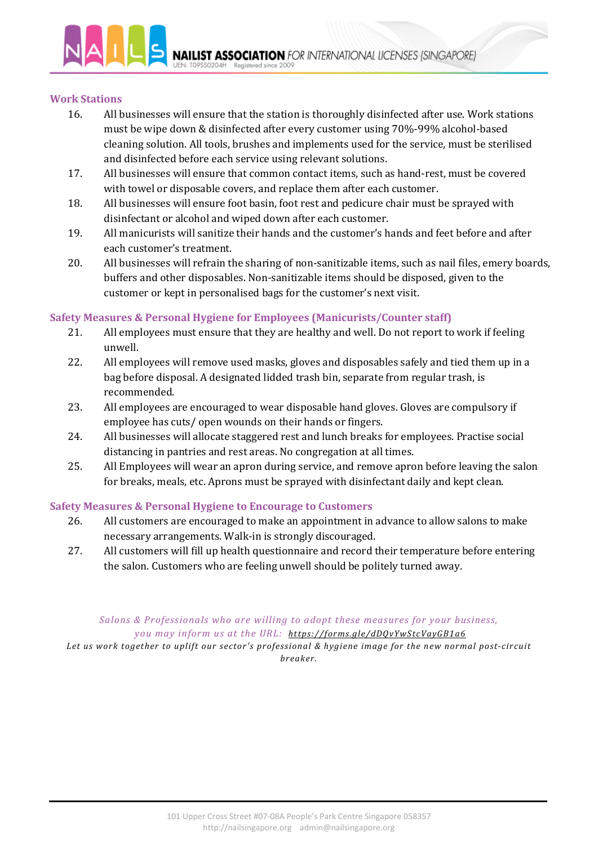

#### **Work Stations**

- 16. All businesses will ensure that the station is thoroughly disinfected after use. Work stations must be wipe down & disinfected after every customer using 70%-99% alcohol-based cleaning solution. All tools, brushes and implements used for the service, must be sterilised and disinfected before each service using relevant solutions.
- 17. All businesses will ensure that common contact items, such as hand-rest, must be covered with towel or disposable covers, and replace them after each customer.
- 18. All businesses will ensure foot basin, foot rest and pedicure chair must be sprayed with disinfectant or alcohol and wiped down after each customer.
- 19. All manicurists will sanitize their hands and the customer's hands and feet before and after each customer's treatment.
- 20. All businesses will refrain the sharing of non-sanitizable items, such as nail files, emery boards, buffers and other disposables. Non-sanitizable items should be disposed, given to the customer or kept in personalised bags for the customer's next visit.

### **Safety Measures & Personal Hygiene for Employees (Manicurists/Counter staff)**

- 21. All employees must ensure that they are healthy and well. Do not report to work if feeling unwell.
- 22. All employees will remove used masks, gloves and disposables safely and tied them up in a bag before disposal. A designated lidded trash bin, separate from regular trash, is recommended.
- 23. All employees are encouraged to wear disposable hand gloves. Gloves are compulsory if employee has cuts/ open wounds on their hands or fingers.
- 24. All businesses will allocate staggered rest and lunch breaks for employees. Practise social distancing in pantries and rest areas. No congregation at all times.
- 25. All Employees will wear an apron during service, and remove apron before leaving the salon for breaks, meals, etc. Aprons must be sprayed with disinfectant daily and kept clean.

## **Safety Measures & Personal Hygiene to Encourage to Customers**

- 26. All customers are encouraged to make an appointment in advance to allow salons to make necessary arrangements. Walk-in is strongly discouraged.
- 27. All customers will fill up health questionnaire and record their temperature before entering the salon. Customers who are feeling unwell should be politely turned away.

#### *Salons & Professionals who are willing to adopt these measures for your business, you may inform us at the URL: https://forms.gle/dDQvYwStcVayGB1a6*

*Let us work together to uplift our sector's professional & hygiene image for the new normal post-circuit breaker.*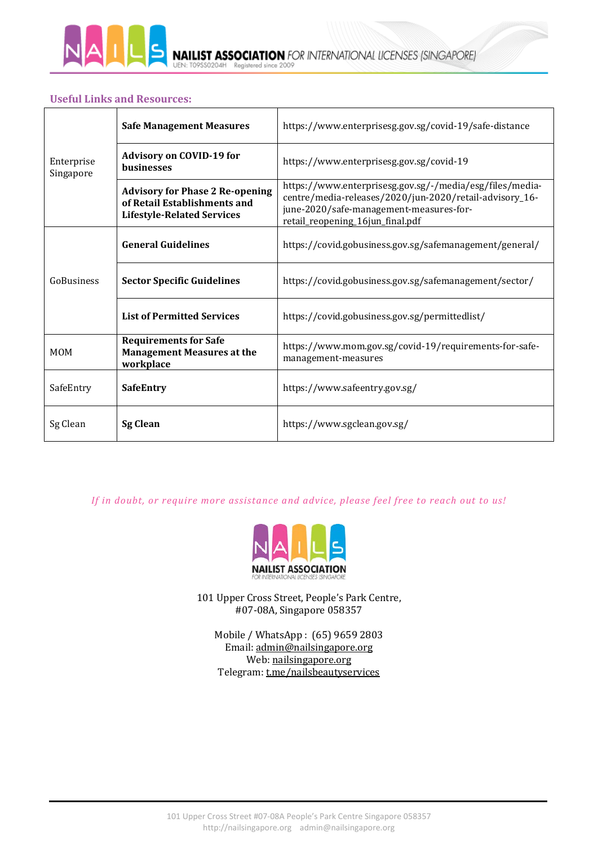

**IST ASSOCIATION** FOR INTERNATIONAL LICENSES (SINGAPORE) **NAIL** Registered since 2009

### **Useful Links and Resources:**

| Enterprise<br>Singapore | <b>Safe Management Measures</b>                                                                             | https://www.enterprisesg.gov.sg/covid-19/safe-distance                                                                                                                                             |
|-------------------------|-------------------------------------------------------------------------------------------------------------|----------------------------------------------------------------------------------------------------------------------------------------------------------------------------------------------------|
|                         | <b>Advisory on COVID-19 for</b><br><b>businesses</b>                                                        | https://www.enterprisesg.gov.sg/covid-19                                                                                                                                                           |
|                         | <b>Advisory for Phase 2 Re-opening</b><br>of Retail Establishments and<br><b>Lifestyle-Related Services</b> | https://www.enterprisesg.gov.sg/-/media/esg/files/media-<br>centre/media-releases/2020/jun-2020/retail-advisory_16-<br>june-2020/safe-management-measures-for-<br>retail_reopening_16jun_final.pdf |
| GoBusiness              | <b>General Guidelines</b>                                                                                   | https://covid.gobusiness.gov.sg/safemanagement/general/                                                                                                                                            |
|                         | <b>Sector Specific Guidelines</b>                                                                           | https://covid.gobusiness.gov.sg/safemanagement/sector/                                                                                                                                             |
|                         | <b>List of Permitted Services</b>                                                                           | https://covid.gobusiness.gov.sg/permittedlist/                                                                                                                                                     |
| <b>MOM</b>              | <b>Requirements for Safe</b><br><b>Management Measures at the</b><br>workplace                              | https://www.mom.gov.sg/covid-19/requirements-for-safe-<br>management-measures                                                                                                                      |
| SafeEntry               | <b>SafeEntry</b>                                                                                            | https://www.safeentry.gov.sg/                                                                                                                                                                      |
| Sg Clean                | <b>Sg Clean</b>                                                                                             | https://www.sgclean.gov.sg/                                                                                                                                                                        |

*If in doubt, or require more assistance and advice, please feel free to reach out to us!*



101 Upper Cross Street, People's Park Centre, #07-08A, Singapore 058357

Mobile / WhatsApp : (65) 9659 2803 Email: [admin@nailsingapore.org](mailto:admin@nailsingapore.org) Web: nailsingapore.org Telegram: t.me/nailsbeautyservices